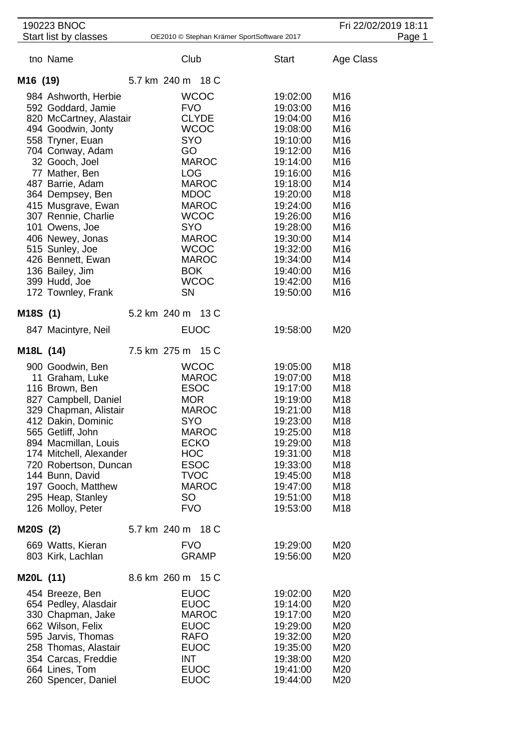| 190223 BNOC                                     |                                            |                      | Fri 22/02/2019 18:11 |        |
|-------------------------------------------------|--------------------------------------------|----------------------|----------------------|--------|
| Start list by classes                           | OE2010 © Stephan Krämer SportSoftware 2017 |                      |                      | Page 1 |
| tno Name                                        | Club                                       | <b>Start</b>         | Age Class            |        |
| M <sub>16</sub> (19)                            | 5.7 km 240 m 18 C                          |                      |                      |        |
| 984 Ashworth, Herbie                            | <b>WCOC</b>                                | 19:02:00             | M16                  |        |
| 592 Goddard, Jamie                              | <b>FVO</b>                                 | 19:03:00             | M16                  |        |
| 820 McCartney, Alastair                         | <b>CLYDE</b>                               | 19:04:00             | M16                  |        |
| 494 Goodwin, Jonty                              | <b>WCOC</b>                                | 19:08:00             | M16                  |        |
| 558 Tryner, Euan                                | <b>SYO</b>                                 | 19:10:00             | M16                  |        |
| 704 Conway, Adam                                | GO                                         | 19:12:00             | M16                  |        |
| 32 Gooch, Joel                                  | <b>MAROC</b>                               | 19:14:00             | M16                  |        |
| 77 Mather, Ben                                  | <b>LOG</b>                                 | 19:16:00             | M16                  |        |
| 487 Barrie, Adam                                | <b>MAROC</b>                               | 19:18:00             | M14                  |        |
| 364 Dempsey, Ben                                | <b>MDOC</b>                                | 19:20:00             | M18                  |        |
| 415 Musgrave, Ewan<br>307 Rennie, Charlie       | <b>MAROC</b><br><b>WCOC</b>                | 19:24:00<br>19:26:00 | M16<br>M16           |        |
| 101 Owens, Joe                                  | <b>SYO</b>                                 | 19:28:00             | M16                  |        |
| 406 Newey, Jonas                                | <b>MAROC</b>                               | 19:30:00             | M14                  |        |
| 515 Sunley, Joe                                 | <b>WCOC</b>                                | 19:32:00             | M <sub>16</sub>      |        |
| 426 Bennett, Ewan                               | <b>MAROC</b>                               | 19:34:00             | M14                  |        |
| 136 Bailey, Jim                                 | <b>BOK</b>                                 | 19:40:00             | M16                  |        |
| 399 Hudd, Joe                                   | <b>WCOC</b>                                | 19:42:00             | M16                  |        |
| 172 Townley, Frank                              | <b>SN</b>                                  | 19:50:00             | M16                  |        |
| M18S (1)                                        | 5.2 km 240 m 13 C                          |                      |                      |        |
| 847 Macintyre, Neil                             | <b>EUOC</b>                                | 19:58:00             | M20                  |        |
| M <sub>18</sub> L (14)                          | 7.5 km 275 m 15 C                          |                      |                      |        |
| 900 Goodwin, Ben                                | <b>WCOC</b>                                | 19:05:00             | M18                  |        |
| 11 Graham, Luke                                 | <b>MAROC</b>                               | 19:07:00             | M18                  |        |
| 116 Brown, Ben                                  | <b>ESOC</b>                                | 19:17:00             | M18                  |        |
| 827 Campbell, Daniel                            | <b>MOR</b>                                 | 19:19:00             | M18                  |        |
| 329 Chapman, Alistair                           | <b>MAROC</b>                               | 19:21:00             | M <sub>18</sub>      |        |
| 412 Dakin, Dominic                              | <b>SYO</b>                                 | 19:23:00             | M18                  |        |
| 565 Getliff, John                               | <b>MAROC</b>                               | 19:25:00             | M18                  |        |
| 894 Macmillan, Louis<br>174 Mitchell, Alexander | <b>ECKO</b><br><b>HOC</b>                  | 19:29:00<br>19:31:00 | M18<br>M18           |        |
| 720 Robertson, Duncan                           | <b>ESOC</b>                                | 19:33:00             | M18                  |        |
| 144 Bunn, David                                 | <b>TVOC</b>                                | 19:45:00             | M18                  |        |
| 197 Gooch, Matthew                              | <b>MAROC</b>                               | 19:47:00             | M18                  |        |
| 295 Heap, Stanley                               | SO                                         | 19:51:00             | M18                  |        |
| 126 Molloy, Peter                               | <b>FVO</b>                                 | 19:53:00             | M18                  |        |
| M20S(2)                                         | 5.7 km 240 m 18 C                          |                      |                      |        |
| 669 Watts, Kieran                               | <b>FVO</b>                                 | 19:29:00             | M20                  |        |
| 803 Kirk, Lachlan                               | <b>GRAMP</b>                               | 19:56:00             | M20                  |        |
| M20L (11)                                       | 8.6 km 260 m 15 C                          |                      |                      |        |
| 454 Breeze, Ben                                 | <b>EUOC</b>                                | 19:02:00             | M20                  |        |
| 654 Pedley, Alasdair                            | <b>EUOC</b>                                | 19:14:00             | M20                  |        |
| 330 Chapman, Jake                               | <b>MAROC</b>                               | 19:17:00             | M20                  |        |
| 662 Wilson, Felix                               | <b>EUOC</b>                                | 19:29:00             | M20                  |        |
| 595 Jarvis, Thomas                              | <b>RAFO</b>                                | 19:32:00             | M20                  |        |
| 258 Thomas, Alastair<br>354 Carcas, Freddie     | <b>EUOC</b><br>INT                         | 19:35:00<br>19:38:00 | M20<br>M20           |        |
| 664 Lines, Tom                                  | <b>EUOC</b>                                | 19:41:00             | M20                  |        |
| 260 Spencer, Daniel                             | <b>EUOC</b>                                | 19:44:00             | M20                  |        |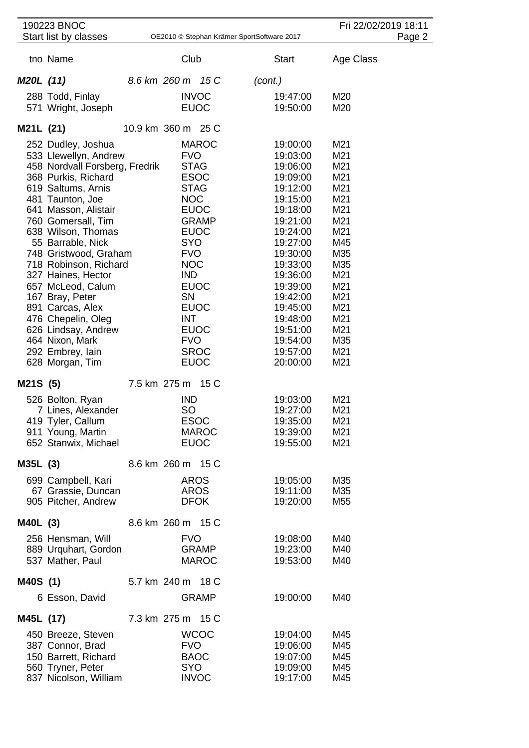|           | 190223 BNOC                                             |                                            | Fri 22/02/2019 18:11 |                      |            |  |
|-----------|---------------------------------------------------------|--------------------------------------------|----------------------|----------------------|------------|--|
|           | Start list by classes                                   | OE2010 © Stephan Krämer SportSoftware 2017 |                      | Page 2               |            |  |
|           | tno Name                                                | Club                                       |                      | <b>Start</b>         | Age Class  |  |
| M20L (11) |                                                         | 8.6 km 260 m 15 C                          |                      | (cont.)              |            |  |
|           | 288 Todd, Finlay                                        | <b>INVOC</b>                               |                      | 19:47:00             | M20        |  |
|           | 571 Wright, Joseph                                      | <b>EUOC</b>                                |                      | 19:50:00             | M20        |  |
| M21L (21) |                                                         | 10.9 km 360 m 25 C                         |                      |                      |            |  |
|           | 252 Dudley, Joshua                                      |                                            | <b>MAROC</b>         | 19:00:00             | M21        |  |
|           | 533 Llewellyn, Andrew<br>458 Nordvall Forsberg, Fredrik | <b>FVO</b><br><b>STAG</b>                  |                      | 19:03:00<br>19:06:00 | M21<br>M21 |  |
|           | 368 Purkis, Richard                                     | <b>ESOC</b>                                |                      | 19:09:00             | M21        |  |
|           | 619 Saltums, Arnis                                      | <b>STAG</b>                                |                      | 19:12:00             | M21        |  |
|           | 481 Taunton, Joe                                        | <b>NOC</b>                                 |                      | 19:15:00             | M21        |  |
|           | 641 Masson, Alistair<br>760 Gomersall, Tim              | <b>EUOC</b>                                | <b>GRAMP</b>         | 19:18:00<br>19:21:00 | M21<br>M21 |  |
|           | 638 Wilson, Thomas                                      | <b>EUOC</b>                                |                      | 19:24:00             | M21        |  |
|           | 55 Barrable, Nick                                       | <b>SYO</b>                                 |                      | 19:27:00             | M45        |  |
|           | 748 Gristwood, Graham                                   | <b>FVO</b>                                 |                      | 19:30:00             | M35        |  |
|           | 718 Robinson, Richard                                   | <b>NOC</b>                                 |                      | 19:33:00             | M35        |  |
|           | 327 Haines, Hector<br>657 McLeod, Calum                 | IND<br><b>EUOC</b>                         |                      | 19:36:00<br>19:39:00 | M21<br>M21 |  |
|           | 167 Bray, Peter                                         | <b>SN</b>                                  |                      | 19:42:00             | M21        |  |
|           | 891 Carcas, Alex                                        | <b>EUOC</b>                                |                      | 19:45:00             | M21        |  |
|           | 476 Chepelin, Oleg                                      | <b>INT</b>                                 |                      | 19:48:00             | M21        |  |
|           | 626 Lindsay, Andrew                                     | <b>EUOC</b>                                |                      | 19:51:00             | M21        |  |
|           | 464 Nixon, Mark<br>292 Embrey, lain                     | <b>FVO</b><br><b>SROC</b>                  |                      | 19:54:00<br>19:57:00 | M35<br>M21 |  |
|           | 628 Morgan, Tim                                         | <b>EUOC</b>                                |                      | 20:00:00             | M21        |  |
| M21S (5)  |                                                         | 7.5 km 275 m 15 C                          |                      |                      |            |  |
|           | 526 Bolton, Ryan                                        | <b>IND</b>                                 |                      | 19:03:00             | M21        |  |
|           | 7 Lines, Alexander                                      | SO                                         |                      | 19:27:00             | M21        |  |
|           | 419 Tyler, Callum                                       | <b>ESOC</b>                                | <b>MAROC</b>         | 19:35:00             | M21        |  |
|           | 911 Young, Martin<br>652 Stanwix, Michael               | <b>EUOC</b>                                |                      | 19:39:00<br>19:55:00 | M21<br>M21 |  |
| M35L (3)  |                                                         | 8.6 km 260 m 15 C                          |                      |                      |            |  |
|           | 699 Campbell, Kari                                      | <b>AROS</b>                                |                      | 19:05:00             | M35        |  |
|           | 67 Grassie, Duncan                                      | <b>AROS</b>                                |                      | 19:11:00             | M35        |  |
|           | 905 Pitcher, Andrew                                     | <b>DFOK</b>                                |                      | 19:20:00             | M55        |  |
| M40L (3)  |                                                         | 8.6 km 260 m 15 C                          |                      |                      |            |  |
|           | 256 Hensman, Will                                       | <b>FVO</b>                                 |                      | 19:08:00             | M40        |  |
|           | 889 Urquhart, Gordon                                    |                                            | <b>GRAMP</b>         | 19:23:00             | M40        |  |
|           | 537 Mather, Paul                                        |                                            | <b>MAROC</b>         | 19:53:00             | M40        |  |
| M40S (1)  |                                                         | 5.7 km 240 m 18 C                          |                      |                      |            |  |
|           | 6 Esson, David                                          |                                            | <b>GRAMP</b>         | 19:00:00             | M40        |  |
| M45L (17) |                                                         | 7.3 km 275 m 15 C                          |                      |                      |            |  |
|           | 450 Breeze, Steven                                      |                                            | <b>WCOC</b>          | 19:04:00             | M45        |  |
|           | 387 Connor, Brad<br>150 Barrett, Richard                | <b>FVO</b><br><b>BAOC</b>                  |                      | 19:06:00<br>19:07:00 | M45<br>M45 |  |
|           | 560 Tryner, Peter                                       | <b>SYO</b>                                 |                      | 19:09:00             | M45        |  |
|           | 837 Nicolson, William                                   | <b>INVOC</b>                               |                      | 19:17:00             | M45        |  |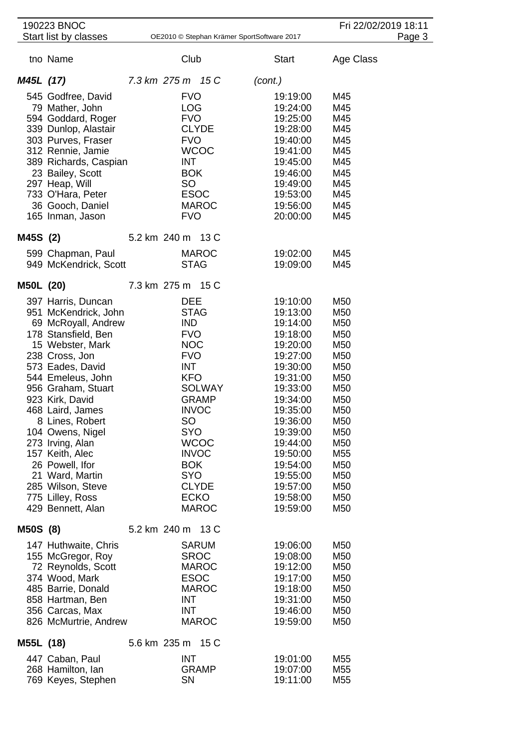|           | 190223 BNOC                                                                                                                                                                                                                                                                                                                                                                                                            |                   |                                                                                                                                                                                                              |                                                                              |                                                                                                                                                                                                                                              |                                                                                                                                                                                                                                                                  | Fri 22/02/2019 18:11 |        |
|-----------|------------------------------------------------------------------------------------------------------------------------------------------------------------------------------------------------------------------------------------------------------------------------------------------------------------------------------------------------------------------------------------------------------------------------|-------------------|--------------------------------------------------------------------------------------------------------------------------------------------------------------------------------------------------------------|------------------------------------------------------------------------------|----------------------------------------------------------------------------------------------------------------------------------------------------------------------------------------------------------------------------------------------|------------------------------------------------------------------------------------------------------------------------------------------------------------------------------------------------------------------------------------------------------------------|----------------------|--------|
|           | Start list by classes                                                                                                                                                                                                                                                                                                                                                                                                  |                   |                                                                                                                                                                                                              |                                                                              | OE2010 © Stephan Krämer SportSoftware 2017                                                                                                                                                                                                   |                                                                                                                                                                                                                                                                  |                      | Page 3 |
|           | tno Name                                                                                                                                                                                                                                                                                                                                                                                                               |                   | Club                                                                                                                                                                                                         |                                                                              | <b>Start</b>                                                                                                                                                                                                                                 |                                                                                                                                                                                                                                                                  | Age Class            |        |
| M45L (17) |                                                                                                                                                                                                                                                                                                                                                                                                                        | 7.3 km 275 m 15 C |                                                                                                                                                                                                              |                                                                              | (cont.)                                                                                                                                                                                                                                      |                                                                                                                                                                                                                                                                  |                      |        |
|           | 545 Godfree, David<br>79 Mather, John<br>594 Goddard, Roger<br>339 Dunlop, Alastair<br>303 Purves, Fraser<br>312 Rennie, Jamie<br>389 Richards, Caspian<br>23 Bailey, Scott<br>297 Heap, Will<br>733 O'Hara, Peter<br>36 Gooch, Daniel<br>165 Inman, Jason                                                                                                                                                             |                   | <b>FVO</b><br><b>LOG</b><br><b>FVO</b><br><b>CLYDE</b><br><b>FVO</b><br><b>INT</b><br><b>BOK</b><br><b>SO</b><br><b>ESOC</b><br><b>FVO</b>                                                                   | <b>WCOC</b><br><b>MAROC</b>                                                  | 19:19:00<br>19:24:00<br>19:25:00<br>19:28:00<br>19:40:00<br>19:41:00<br>19:45:00<br>19:46:00<br>19:49:00<br>19:53:00<br>19:56:00<br>20:00:00                                                                                                 | M45<br>M45<br>M45<br>M45<br>M45<br>M45<br>M45<br>M45<br>M45<br>M45<br>M45<br>M45                                                                                                                                                                                 |                      |        |
| M45S (2)  |                                                                                                                                                                                                                                                                                                                                                                                                                        | 5.2 km 240 m 13 C |                                                                                                                                                                                                              |                                                                              |                                                                                                                                                                                                                                              |                                                                                                                                                                                                                                                                  |                      |        |
|           | 599 Chapman, Paul<br>949 McKendrick, Scott                                                                                                                                                                                                                                                                                                                                                                             |                   | <b>STAG</b>                                                                                                                                                                                                  | <b>MAROC</b>                                                                 | 19:02:00<br>19:09:00                                                                                                                                                                                                                         | M45<br>M45                                                                                                                                                                                                                                                       |                      |        |
| M50L (20) |                                                                                                                                                                                                                                                                                                                                                                                                                        | 7.3 km 275 m 15 C |                                                                                                                                                                                                              |                                                                              |                                                                                                                                                                                                                                              |                                                                                                                                                                                                                                                                  |                      |        |
|           | 397 Harris, Duncan<br>951 McKendrick, John<br>69 McRoyall, Andrew<br>178 Stansfield, Ben<br>15 Webster, Mark<br>238 Cross, Jon<br>573 Eades, David<br>544 Emeleus, John<br>956 Graham, Stuart<br>923 Kirk, David<br>468 Laird, James<br>8 Lines, Robert<br>104 Owens, Nigel<br>273 Irving, Alan<br>157 Keith, Alec<br>26 Powell, Ifor<br>21 Ward, Martin<br>285 Wilson, Steve<br>775 Lilley, Ross<br>429 Bennett, Alan |                   | <b>DEE</b><br><b>STAG</b><br><b>IND</b><br><b>FVO</b><br><b>NOC</b><br><b>FVO</b><br><b>INT</b><br><b>KFO</b><br><b>INVOC</b><br>SO<br><b>SYO</b><br><b>INVOC</b><br><b>BOK</b><br><b>SYO</b><br><b>ECKO</b> | <b>SOLWAY</b><br><b>GRAMP</b><br><b>WCOC</b><br><b>CLYDE</b><br><b>MAROC</b> | 19:10:00<br>19:13:00<br>19:14:00<br>19:18:00<br>19:20:00<br>19:27:00<br>19:30:00<br>19:31:00<br>19:33:00<br>19:34:00<br>19:35:00<br>19:36:00<br>19:39:00<br>19:44:00<br>19:50:00<br>19:54:00<br>19:55:00<br>19:57:00<br>19:58:00<br>19:59:00 | M50<br>M <sub>50</sub><br>M50<br>M <sub>50</sub><br>M <sub>50</sub><br>M <sub>50</sub><br>M <sub>50</sub><br>M <sub>50</sub><br>M <sub>50</sub><br>M <sub>50</sub><br>M <sub>50</sub><br>M50<br>M50<br>M50<br>M <sub>55</sub><br>M50<br>M50<br>M50<br>M50<br>M50 |                      |        |
| M50S (8)  |                                                                                                                                                                                                                                                                                                                                                                                                                        | 5.2 km 240 m 13 C |                                                                                                                                                                                                              |                                                                              |                                                                                                                                                                                                                                              |                                                                                                                                                                                                                                                                  |                      |        |
|           | 147 Huthwaite, Chris<br>155 McGregor, Roy<br>72 Reynolds, Scott<br>374 Wood, Mark<br>485 Barrie, Donald<br>858 Hartman, Ben<br>356 Carcas, Max<br>826 McMurtrie, Andrew                                                                                                                                                                                                                                                |                   | <b>SROC</b><br><b>ESOC</b><br>INT<br><b>INT</b>                                                                                                                                                              | <b>SARUM</b><br><b>MAROC</b><br><b>MAROC</b><br><b>MAROC</b>                 | 19:06:00<br>19:08:00<br>19:12:00<br>19:17:00<br>19:18:00<br>19:31:00<br>19:46:00<br>19:59:00                                                                                                                                                 | M50<br>M50<br>M50<br>M50<br>M50<br>M50<br>M50<br>M50                                                                                                                                                                                                             |                      |        |
| M55L (18) |                                                                                                                                                                                                                                                                                                                                                                                                                        | 5.6 km 235 m 15 C |                                                                                                                                                                                                              |                                                                              |                                                                                                                                                                                                                                              |                                                                                                                                                                                                                                                                  |                      |        |
|           | 447 Caban, Paul<br>268 Hamilton, Ian<br>769 Keyes, Stephen                                                                                                                                                                                                                                                                                                                                                             |                   | <b>INT</b><br><b>SN</b>                                                                                                                                                                                      | <b>GRAMP</b>                                                                 | 19:01:00<br>19:07:00<br>19:11:00                                                                                                                                                                                                             | M55<br>M <sub>55</sub><br>M55                                                                                                                                                                                                                                    |                      |        |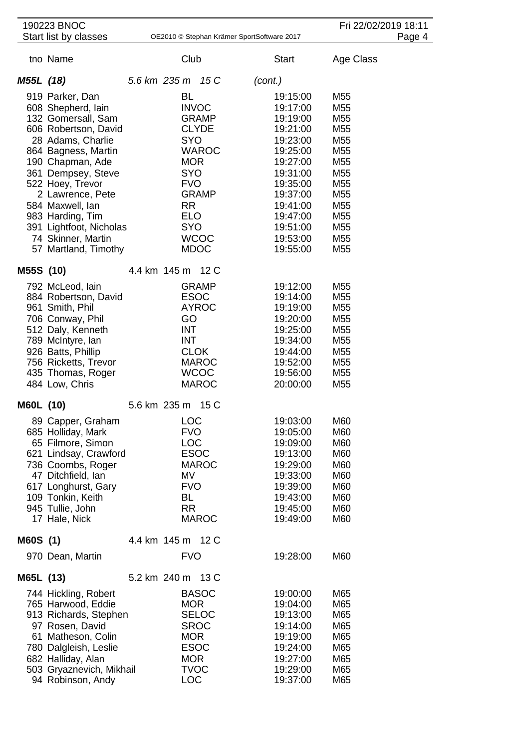|           | 190223 BNOC<br>Start list by classes                                                                                                                                                                                                                                                                                               | OE2010 © Stephan Krämer SportSoftware 2017                                                                                                |                                                                             | Fri 22/02/2019 18:11                                                                                                                                                             |                                                                                                                                                                                                                                                                               |  |
|-----------|------------------------------------------------------------------------------------------------------------------------------------------------------------------------------------------------------------------------------------------------------------------------------------------------------------------------------------|-------------------------------------------------------------------------------------------------------------------------------------------|-----------------------------------------------------------------------------|----------------------------------------------------------------------------------------------------------------------------------------------------------------------------------|-------------------------------------------------------------------------------------------------------------------------------------------------------------------------------------------------------------------------------------------------------------------------------|--|
|           |                                                                                                                                                                                                                                                                                                                                    |                                                                                                                                           |                                                                             | Page 4                                                                                                                                                                           |                                                                                                                                                                                                                                                                               |  |
|           | tno Name                                                                                                                                                                                                                                                                                                                           | Club                                                                                                                                      |                                                                             | <b>Start</b>                                                                                                                                                                     | Age Class                                                                                                                                                                                                                                                                     |  |
| M55L (18) |                                                                                                                                                                                                                                                                                                                                    | 5.6 km 235 m 15 C                                                                                                                         |                                                                             | (cont.)                                                                                                                                                                          |                                                                                                                                                                                                                                                                               |  |
|           | 919 Parker, Dan<br>608 Shepherd, lain<br>132 Gomersall, Sam<br>606 Robertson, David<br>28 Adams, Charlie<br>864 Bagness, Martin<br>190 Chapman, Ade<br>361 Dempsey, Steve<br>522 Hoey, Trevor<br>2 Lawrence, Pete<br>584 Maxwell, Ian<br>983 Harding, Tim<br>391 Lightfoot, Nicholas<br>74 Skinner, Martin<br>57 Martland, Timothy | <b>BL</b><br><b>INVOC</b><br><b>SYO</b><br><b>MOR</b><br><b>SYO</b><br><b>FVO</b><br><b>RR</b><br><b>ELO</b><br><b>SYO</b><br><b>MDOC</b> | <b>GRAMP</b><br><b>CLYDE</b><br><b>WAROC</b><br><b>GRAMP</b><br><b>WCOC</b> | 19:15:00<br>19:17:00<br>19:19:00<br>19:21:00<br>19:23:00<br>19:25:00<br>19:27:00<br>19:31:00<br>19:35:00<br>19:37:00<br>19:41:00<br>19:47:00<br>19:51:00<br>19:53:00<br>19:55:00 | M55<br>M <sub>55</sub><br>M <sub>55</sub><br>M <sub>55</sub><br>M <sub>55</sub><br>M <sub>55</sub><br>M <sub>55</sub><br>M <sub>55</sub><br>M <sub>55</sub><br>M <sub>55</sub><br>M <sub>55</sub><br>M <sub>55</sub><br>M <sub>55</sub><br>M <sub>55</sub><br>M <sub>55</sub> |  |
| M55S (10) |                                                                                                                                                                                                                                                                                                                                    | 4.4 km 145 m 12 C                                                                                                                         |                                                                             |                                                                                                                                                                                  |                                                                                                                                                                                                                                                                               |  |
|           | 792 McLeod, lain<br>884 Robertson, David<br>961 Smith, Phil<br>706 Conway, Phil<br>512 Daly, Kenneth<br>789 McIntyre, lan<br>926 Batts, Phillip<br>756 Ricketts, Trevor<br>435 Thomas, Roger<br>484 Low, Chris                                                                                                                     | <b>ESOC</b><br>GO<br><b>INT</b><br><b>INT</b><br><b>CLOK</b>                                                                              | <b>GRAMP</b><br><b>AYROC</b><br><b>MAROC</b><br><b>WCOC</b><br><b>MAROC</b> | 19:12:00<br>19:14:00<br>19:19:00<br>19:20:00<br>19:25:00<br>19:34:00<br>19:44:00<br>19:52:00<br>19:56:00<br>20:00:00                                                             | M55<br>M <sub>55</sub><br>M <sub>55</sub><br>M <sub>55</sub><br>M <sub>55</sub><br>M <sub>55</sub><br>M <sub>55</sub><br>M <sub>55</sub><br>M55<br>M55                                                                                                                        |  |
| M60L (10) |                                                                                                                                                                                                                                                                                                                                    | 5.6 km 235 m 15 C                                                                                                                         |                                                                             |                                                                                                                                                                                  |                                                                                                                                                                                                                                                                               |  |
|           | 89 Capper, Graham<br>685 Holliday, Mark<br>65 Filmore, Simon<br>621 Lindsay, Crawford<br>736 Coombs, Roger<br>47 Ditchfield, Ian<br>617 Longhurst, Gary<br>109 Tonkin, Keith<br>945 Tullie, John<br>17 Hale, Nick                                                                                                                  | LOC<br><b>FVO</b><br><b>LOC</b><br><b>ESOC</b><br>MV<br><b>FVO</b><br>BL<br><b>RR</b>                                                     | <b>MAROC</b><br><b>MAROC</b>                                                | 19:03:00<br>19:05:00<br>19:09:00<br>19:13:00<br>19:29:00<br>19:33:00<br>19:39:00<br>19:43:00<br>19:45:00<br>19:49:00                                                             | M60<br>M60<br>M60<br>M60<br>M60<br>M60<br>M60<br>M60<br>M60<br>M60                                                                                                                                                                                                            |  |
| M60S (1)  |                                                                                                                                                                                                                                                                                                                                    | 4.4 km 145 m 12 C                                                                                                                         |                                                                             |                                                                                                                                                                                  |                                                                                                                                                                                                                                                                               |  |
|           | 970 Dean, Martin                                                                                                                                                                                                                                                                                                                   | <b>FVO</b>                                                                                                                                |                                                                             | 19:28:00                                                                                                                                                                         | M60                                                                                                                                                                                                                                                                           |  |
| M65L (13) |                                                                                                                                                                                                                                                                                                                                    | 5.2 km 240 m 13 C                                                                                                                         |                                                                             |                                                                                                                                                                                  |                                                                                                                                                                                                                                                                               |  |
|           | 744 Hickling, Robert<br>765 Harwood, Eddie<br>913 Richards, Stephen<br>97 Rosen, David<br>61 Matheson, Colin<br>780 Dalgleish, Leslie<br>682 Halliday, Alan<br>503 Gryaznevich, Mikhail<br>94 Robinson, Andy                                                                                                                       | <b>MOR</b><br><b>SROC</b><br><b>MOR</b><br><b>ESOC</b><br><b>MOR</b><br><b>TVOC</b><br><b>LOC</b>                                         | <b>BASOC</b><br><b>SELOC</b>                                                | 19:00:00<br>19:04:00<br>19:13:00<br>19:14:00<br>19:19:00<br>19:24:00<br>19:27:00<br>19:29:00<br>19:37:00                                                                         | M65<br>M65<br>M65<br>M65<br>M65<br>M65<br>M65<br>M65<br>M65                                                                                                                                                                                                                   |  |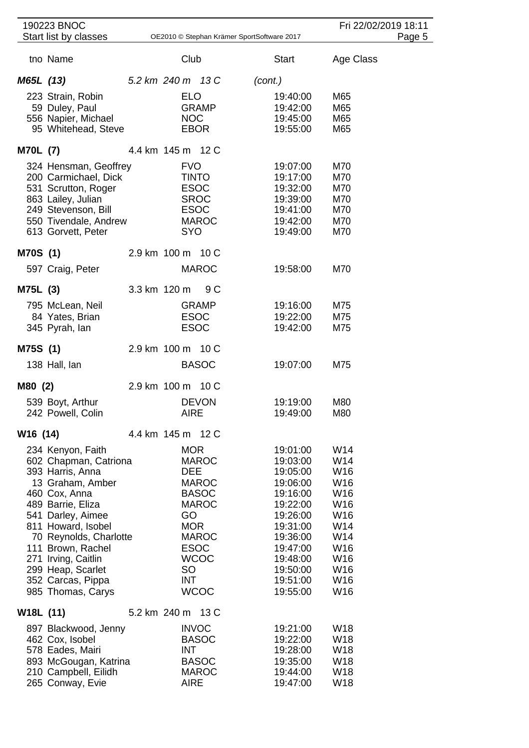| 190223 BNOC                                                                                                                                                                                                                                                                                              |              |                                                                                                                                                                                        |     |                                                                                                                                                                      |                                                                                                                        | Fri 22/02/2019 18:11 |
|----------------------------------------------------------------------------------------------------------------------------------------------------------------------------------------------------------------------------------------------------------------------------------------------------------|--------------|----------------------------------------------------------------------------------------------------------------------------------------------------------------------------------------|-----|----------------------------------------------------------------------------------------------------------------------------------------------------------------------|------------------------------------------------------------------------------------------------------------------------|----------------------|
| Start list by classes                                                                                                                                                                                                                                                                                    |              |                                                                                                                                                                                        |     | OE2010 © Stephan Krämer SportSoftware 2017                                                                                                                           |                                                                                                                        | Page 5               |
| tno Name                                                                                                                                                                                                                                                                                                 |              | Club                                                                                                                                                                                   |     | <b>Start</b>                                                                                                                                                         | Age Class                                                                                                              |                      |
| M65L (13)                                                                                                                                                                                                                                                                                                |              | 5.2 km 240 m 13 C                                                                                                                                                                      |     | (cont.)                                                                                                                                                              |                                                                                                                        |                      |
| 223 Strain, Robin<br>59 Duley, Paul<br>556 Napier, Michael<br>95 Whitehead, Steve                                                                                                                                                                                                                        |              | <b>ELO</b><br><b>GRAMP</b><br><b>NOC</b><br><b>EBOR</b>                                                                                                                                |     | 19:40:00<br>19:42:00<br>19:45:00<br>19:55:00                                                                                                                         | M65<br>M65<br>M65<br>M65                                                                                               |                      |
| <b>M70L (7)</b>                                                                                                                                                                                                                                                                                          |              | 4.4 km 145 m 12 C                                                                                                                                                                      |     |                                                                                                                                                                      |                                                                                                                        |                      |
| 324 Hensman, Geoffrey<br>200 Carmichael, Dick<br>531 Scrutton, Roger<br>863 Lailey, Julian<br>249 Stevenson, Bill<br>550 Tivendale, Andrew<br>613 Gorvett, Peter                                                                                                                                         |              | <b>FVO</b><br><b>TINTO</b><br><b>ESOC</b><br><b>SROC</b><br><b>ESOC</b><br><b>MAROC</b><br><b>SYO</b>                                                                                  |     | 19:07:00<br>19:17:00<br>19:32:00<br>19:39:00<br>19:41:00<br>19:42:00<br>19:49:00                                                                                     | M70<br>M70<br>M70<br>M70<br>M70<br>M70<br>M70                                                                          |                      |
| M70S (1)                                                                                                                                                                                                                                                                                                 |              | 2.9 km 100 m 10 C                                                                                                                                                                      |     |                                                                                                                                                                      |                                                                                                                        |                      |
| 597 Craig, Peter                                                                                                                                                                                                                                                                                         |              | <b>MAROC</b>                                                                                                                                                                           |     | 19:58:00                                                                                                                                                             | M70                                                                                                                    |                      |
| M75L (3)                                                                                                                                                                                                                                                                                                 | 3.3 km 120 m |                                                                                                                                                                                        | 9 C |                                                                                                                                                                      |                                                                                                                        |                      |
| 795 McLean, Neil<br>84 Yates, Brian<br>345 Pyrah, lan                                                                                                                                                                                                                                                    |              | <b>GRAMP</b><br><b>ESOC</b><br><b>ESOC</b>                                                                                                                                             |     | 19:16:00<br>19:22:00<br>19:42:00                                                                                                                                     | M75<br>M75<br>M75                                                                                                      |                      |
| M75S (1)                                                                                                                                                                                                                                                                                                 |              | 2.9 km 100 m 10 C                                                                                                                                                                      |     |                                                                                                                                                                      |                                                                                                                        |                      |
| 138 Hall, lan                                                                                                                                                                                                                                                                                            |              | <b>BASOC</b>                                                                                                                                                                           |     | 19:07:00                                                                                                                                                             | M75                                                                                                                    |                      |
| M80 (2)                                                                                                                                                                                                                                                                                                  |              | 2.9 km 100 m 10 C                                                                                                                                                                      |     |                                                                                                                                                                      |                                                                                                                        |                      |
| 539 Boyt, Arthur<br>242 Powell, Colin                                                                                                                                                                                                                                                                    |              | <b>DEVON</b><br><b>AIRE</b>                                                                                                                                                            |     | 19:19:00<br>19:49:00                                                                                                                                                 | M80<br>M80                                                                                                             |                      |
| W <sub>16</sub> (14)                                                                                                                                                                                                                                                                                     |              | 4.4 km 145 m 12 C                                                                                                                                                                      |     |                                                                                                                                                                      |                                                                                                                        |                      |
| 234 Kenyon, Faith<br>602 Chapman, Catriona<br>393 Harris, Anna<br>13 Graham, Amber<br>460 Cox, Anna<br>489 Barrie, Eliza<br>541 Darley, Aimee<br>811 Howard, Isobel<br>70 Reynolds, Charlotte<br>111 Brown, Rachel<br>271 Irving, Caitlin<br>299 Heap, Scarlet<br>352 Carcas, Pippa<br>985 Thomas, Carys |              | <b>MOR</b><br><b>MAROC</b><br><b>DEE</b><br><b>MAROC</b><br><b>BASOC</b><br><b>MAROC</b><br>GO<br><b>MOR</b><br><b>MAROC</b><br><b>ESOC</b><br><b>WCOC</b><br>SO<br>INT<br><b>WCOC</b> |     | 19:01:00<br>19:03:00<br>19:05:00<br>19:06:00<br>19:16:00<br>19:22:00<br>19:26:00<br>19:31:00<br>19:36:00<br>19:47:00<br>19:48:00<br>19:50:00<br>19:51:00<br>19:55:00 | W14<br>W14<br>W16<br>W16<br>W16<br>W16<br>W16<br>W14<br>W14<br>W <sub>16</sub><br>W <sub>16</sub><br>W16<br>W16<br>W16 |                      |
| W <sub>18</sub> L (11)                                                                                                                                                                                                                                                                                   |              | 5.2 km 240 m 13 C                                                                                                                                                                      |     |                                                                                                                                                                      |                                                                                                                        |                      |
| 897 Blackwood, Jenny<br>462 Cox, Isobel<br>578 Eades, Mairi<br>893 McGougan, Katrina<br>210 Campbell, Eilidh<br>265 Conway, Evie                                                                                                                                                                         |              | <b>INVOC</b><br><b>BASOC</b><br><b>INT</b><br><b>BASOC</b><br><b>MAROC</b><br><b>AIRE</b>                                                                                              |     | 19:21:00<br>19:22:00<br>19:28:00<br>19:35:00<br>19:44:00<br>19:47:00                                                                                                 | W <sub>18</sub><br>W <sub>18</sub><br>W <sub>18</sub><br><b>W18</b><br>W18<br>W18                                      |                      |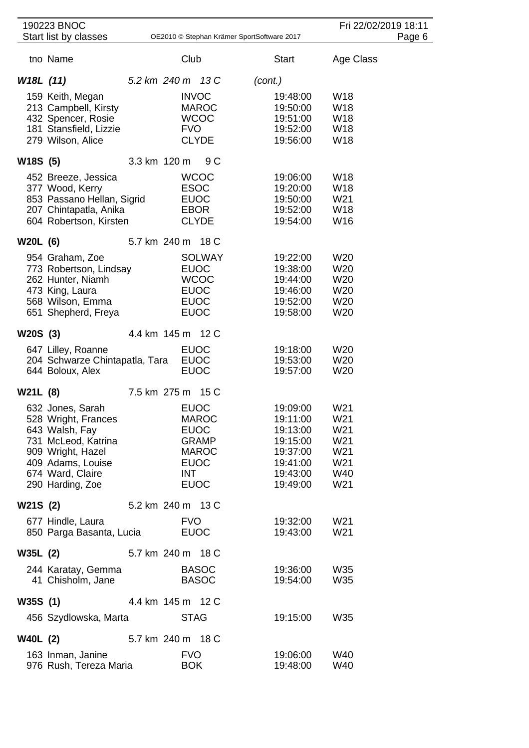|                 | 190223 BNOC<br>Start list by classes          |                   |             |                              | OE2010 © Stephan Krämer SportSoftware 2017 | Fri 22/02/2019 18:11   | Page 6 |
|-----------------|-----------------------------------------------|-------------------|-------------|------------------------------|--------------------------------------------|------------------------|--------|
|                 |                                               |                   |             |                              |                                            |                        |        |
|                 | tno Name                                      |                   | Club        |                              | <b>Start</b>                               | Age Class              |        |
| W18L (11)       |                                               | 5.2 km 240 m 13 C |             |                              | (cont.)                                    |                        |        |
|                 | 159 Keith, Megan                              |                   |             | <b>INVOC</b>                 | 19:48:00                                   | W <sub>18</sub>        |        |
|                 | 213 Campbell, Kirsty                          |                   |             | <b>MAROC</b>                 | 19:50:00                                   | <b>W18</b>             |        |
|                 | 432 Spencer, Rosie                            |                   |             | <b>WCOC</b>                  | 19:51:00                                   | W <sub>18</sub>        |        |
|                 | 181 Stansfield, Lizzie                        |                   | <b>FVO</b>  |                              | 19:52:00                                   | W <sub>18</sub>        |        |
|                 | 279 Wilson, Alice                             |                   |             | <b>CLYDE</b>                 | 19:56:00                                   | W18                    |        |
| W18S (5)        |                                               | 3.3 km 120 m      |             | 9 C                          |                                            |                        |        |
|                 | 452 Breeze, Jessica                           |                   |             | <b>WCOC</b>                  | 19:06:00                                   | W <sub>18</sub>        |        |
|                 | 377 Wood, Kerry                               |                   |             | <b>ESOC</b>                  | 19:20:00                                   | W <sub>18</sub>        |        |
|                 | 853 Passano Hellan, Sigrid                    |                   |             | <b>EUOC</b>                  | 19:50:00                                   | W21                    |        |
|                 | 207 Chintapatla, Anika                        |                   |             | EBOR                         | 19:52:00                                   | W18                    |        |
|                 | 604 Robertson, Kirsten                        |                   |             | <b>CLYDE</b>                 | 19:54:00                                   | W16                    |        |
| <b>W20L (6)</b> |                                               | 5.7 km 240 m 18 C |             |                              |                                            |                        |        |
|                 | 954 Graham, Zoe                               |                   |             | <b>SOLWAY</b>                | 19:22:00                                   | W <sub>20</sub>        |        |
|                 | 773 Robertson, Lindsay                        |                   |             | <b>EUOC</b>                  | 19:38:00                                   | W <sub>20</sub>        |        |
|                 | 262 Hunter, Niamh                             |                   |             | <b>WCOC</b>                  | 19:44:00                                   | W <sub>20</sub>        |        |
|                 | 473 King, Laura                               |                   |             | <b>EUOC</b>                  | 19:46:00                                   | W <sub>20</sub>        |        |
|                 | 568 Wilson, Emma                              |                   |             | <b>EUOC</b>                  | 19:52:00                                   | W <sub>20</sub>        |        |
|                 | 651 Shepherd, Freya                           |                   |             | <b>EUOC</b>                  | 19:58:00                                   | W20                    |        |
| W20S (3)        |                                               | 4.4 km 145 m 12 C |             |                              |                                            |                        |        |
|                 | 647 Lilley, Roanne                            |                   |             | <b>EUOC</b>                  | 19:18:00                                   | W <sub>20</sub>        |        |
|                 | 204 Schwarze Chintapatla, Tara                |                   |             | <b>EUOC</b>                  | 19:53:00                                   | W <sub>20</sub>        |        |
|                 | 644 Boloux, Alex                              |                   |             | <b>EUOC</b>                  | 19:57:00                                   | W <sub>20</sub>        |        |
| W21L (8)        |                                               | 7.5 km 275 m 15 C |             |                              |                                            |                        |        |
|                 | 632 Jones, Sarah                              |                   |             | <b>EUOC</b>                  | 19:09:00                                   | W <sub>21</sub>        |        |
|                 | 528 Wright, Frances                           |                   |             | <b>MAROC</b>                 | 19:11:00                                   | W21                    |        |
|                 | 643 Walsh, Fay                                |                   |             | <b>EUOC</b>                  | 19:13:00                                   | W <sub>21</sub>        |        |
|                 | 731 McLeod, Katrina                           |                   |             | GRAMP                        | 19:15:00                                   | W21                    |        |
|                 | 909 Wright, Hazel<br>409 Adams, Louise        |                   |             | <b>MAROC</b>                 | 19:37:00                                   | W <sub>21</sub>        |        |
|                 | 674 Ward, Claire                              |                   | INT         | <b>EUOC</b>                  | 19:41:00<br>19:43:00                       | W21<br>W40             |        |
|                 | 290 Harding, Zoe                              |                   |             | <b>EUOC</b>                  | 19:49:00                                   | W21                    |        |
|                 |                                               |                   |             |                              |                                            |                        |        |
| W21S (2)        |                                               | 5.2 km 240 m 13 C |             |                              |                                            |                        |        |
|                 | 677 Hindle, Laura<br>850 Parga Basanta, Lucia |                   | <b>FVO</b>  | <b>EUOC</b>                  | 19:32:00<br>19:43:00                       | W <sub>21</sub><br>W21 |        |
|                 |                                               |                   |             |                              |                                            |                        |        |
| W35L (2)        |                                               | 5.7 km 240 m 18 C |             |                              |                                            |                        |        |
|                 | 244 Karatay, Gemma<br>41 Chisholm, Jane       |                   |             | <b>BASOC</b><br><b>BASOC</b> | 19:36:00<br>19:54:00                       | W35<br>W35             |        |
|                 |                                               |                   |             |                              |                                            |                        |        |
| W35S(1)         |                                               | 4.4 km 145 m 12 C |             |                              |                                            |                        |        |
|                 | 456 Szydlowska, Marta                         |                   | <b>STAG</b> |                              | 19:15:00                                   | W35                    |        |
| <b>W40L</b> (2) |                                               | 5.7 km 240 m 18 C |             |                              |                                            |                        |        |
|                 | 163 Inman, Janine                             |                   | <b>FVO</b>  |                              | 19:06:00                                   | W40                    |        |
|                 | 976 Rush, Tereza Maria                        |                   | <b>BOK</b>  |                              | 19:48:00                                   | W40                    |        |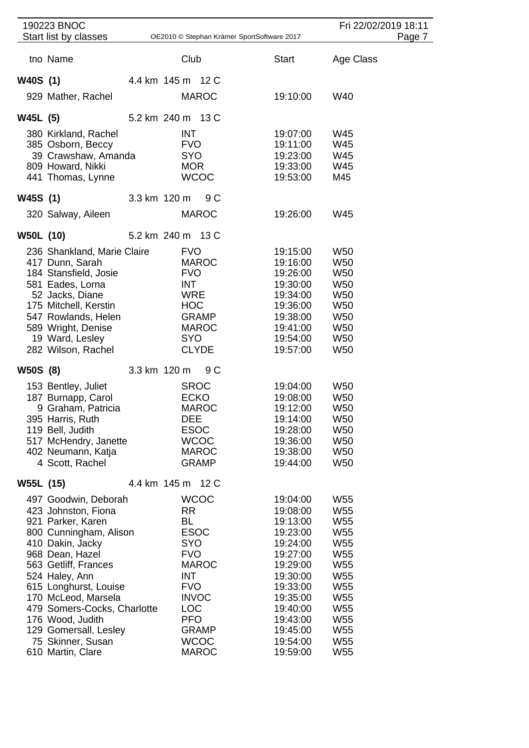|                  | 190223 BNOC                                                                                                                                                                                                                                                                                                                                       |  |                                                                                                                                           |                                                                            |                                            |                                                                                                                                                                                  | Fri 22/02/2019 18:11                                                                                                                                                                                                                                                                      |        |
|------------------|---------------------------------------------------------------------------------------------------------------------------------------------------------------------------------------------------------------------------------------------------------------------------------------------------------------------------------------------------|--|-------------------------------------------------------------------------------------------------------------------------------------------|----------------------------------------------------------------------------|--------------------------------------------|----------------------------------------------------------------------------------------------------------------------------------------------------------------------------------|-------------------------------------------------------------------------------------------------------------------------------------------------------------------------------------------------------------------------------------------------------------------------------------------|--------|
|                  | Start list by classes                                                                                                                                                                                                                                                                                                                             |  |                                                                                                                                           |                                                                            | OE2010 © Stephan Krämer SportSoftware 2017 |                                                                                                                                                                                  |                                                                                                                                                                                                                                                                                           | Page 7 |
|                  | tno Name                                                                                                                                                                                                                                                                                                                                          |  | Club                                                                                                                                      |                                                                            |                                            | <b>Start</b>                                                                                                                                                                     | Age Class                                                                                                                                                                                                                                                                                 |        |
| W40S (1)         |                                                                                                                                                                                                                                                                                                                                                   |  | 4.4 km 145 m 12 C                                                                                                                         |                                                                            |                                            |                                                                                                                                                                                  |                                                                                                                                                                                                                                                                                           |        |
|                  | 929 Mather, Rachel                                                                                                                                                                                                                                                                                                                                |  |                                                                                                                                           | <b>MAROC</b>                                                               |                                            | 19:10:00                                                                                                                                                                         | W40                                                                                                                                                                                                                                                                                       |        |
| W45L (5)         |                                                                                                                                                                                                                                                                                                                                                   |  | 5.2 km 240 m 13 C                                                                                                                         |                                                                            |                                            |                                                                                                                                                                                  |                                                                                                                                                                                                                                                                                           |        |
|                  | 380 Kirkland, Rachel<br>385 Osborn, Beccy<br>39 Crawshaw, Amanda<br>809 Howard, Nikki<br>441 Thomas, Lynne                                                                                                                                                                                                                                        |  | <b>INT</b><br><b>FVO</b><br>SYO<br><b>MOR</b>                                                                                             | <b>WCOC</b>                                                                |                                            | 19:07:00<br>19:11:00<br>19:23:00<br>19:33:00<br>19:53:00                                                                                                                         | W45<br>W45<br>W45<br>W45<br>M45                                                                                                                                                                                                                                                           |        |
| W45S (1)         |                                                                                                                                                                                                                                                                                                                                                   |  | 3.3 km 120 m                                                                                                                              | 9C                                                                         |                                            |                                                                                                                                                                                  |                                                                                                                                                                                                                                                                                           |        |
|                  | 320 Salway, Aileen                                                                                                                                                                                                                                                                                                                                |  |                                                                                                                                           | <b>MAROC</b>                                                               |                                            | 19:26:00                                                                                                                                                                         | W45                                                                                                                                                                                                                                                                                       |        |
| <b>W50L (10)</b> |                                                                                                                                                                                                                                                                                                                                                   |  | 5.2 km 240 m 13 C                                                                                                                         |                                                                            |                                            |                                                                                                                                                                                  |                                                                                                                                                                                                                                                                                           |        |
|                  | 236 Shankland, Marie Claire<br>417 Dunn, Sarah<br>184 Stansfield, Josie<br>581 Eades, Lorna<br>52 Jacks, Diane<br>175 Mitchell, Kerstin<br>547 Rowlands, Helen<br>589 Wright, Denise<br>19 Ward, Lesley<br>282 Wilson, Rachel                                                                                                                     |  | <b>FVO</b><br><b>FVO</b><br>INT<br><b>WRE</b><br><b>HOC</b><br><b>SYO</b>                                                                 | <b>MAROC</b><br>GRAMP<br><b>MAROC</b><br><b>CLYDE</b>                      |                                            | 19:15:00<br>19:16:00<br>19:26:00<br>19:30:00<br>19:34:00<br>19:36:00<br>19:38:00<br>19:41:00<br>19:54:00<br>19:57:00                                                             | W <sub>50</sub><br><b>W50</b><br><b>W50</b><br><b>W50</b><br><b>W50</b><br>W <sub>50</sub><br><b>W50</b><br><b>W50</b><br><b>W50</b><br>W <sub>50</sub>                                                                                                                                   |        |
| W50S (8)         |                                                                                                                                                                                                                                                                                                                                                   |  | 3.3 km 120 m                                                                                                                              | 9 C                                                                        |                                            |                                                                                                                                                                                  |                                                                                                                                                                                                                                                                                           |        |
|                  | 153 Bentley, Juliet<br>187 Burnapp, Carol<br>9 Graham, Patricia<br>395 Harris, Ruth<br>119 Bell, Judith<br>517 McHendry, Janette<br>402 Neumann, Katja<br>4 Scott, Rachel                                                                                                                                                                         |  | <b>SROC</b><br><b>ECKO</b><br><b>DEE</b><br><b>ESOC</b>                                                                                   | <b>MAROC</b><br><b>WCOC</b><br><b>MAROC</b><br><b>GRAMP</b>                |                                            | 19:04:00<br>19:08:00<br>19:12:00<br>19:14:00<br>19:28:00<br>19:36:00<br>19:38:00<br>19:44:00                                                                                     | W50<br>W <sub>50</sub><br>W <sub>50</sub><br>W50<br>W <sub>50</sub><br>W <sub>50</sub><br>W <sub>50</sub><br><b>W50</b>                                                                                                                                                                   |        |
| W55L (15)        |                                                                                                                                                                                                                                                                                                                                                   |  | 4.4 km 145 m 12 C                                                                                                                         |                                                                            |                                            |                                                                                                                                                                                  |                                                                                                                                                                                                                                                                                           |        |
|                  | 497 Goodwin, Deborah<br>423 Johnston, Fiona<br>921 Parker, Karen<br>800 Cunningham, Alison<br>410 Dakin, Jacky<br>968 Dean, Hazel<br>563 Getliff, Frances<br>524 Haley, Ann<br>615 Longhurst, Louise<br>170 McLeod, Marsela<br>479 Somers-Cocks, Charlotte<br>176 Wood, Judith<br>129 Gomersall, Lesley<br>75 Skinner, Susan<br>610 Martin, Clare |  | <b>RR</b><br><b>BL</b><br><b>ESOC</b><br><b>SYO</b><br><b>FVO</b><br><b>INT</b><br><b>FVO</b><br><b>INVOC</b><br><b>LOC</b><br><b>PFO</b> | <b>WCOC</b><br><b>MAROC</b><br><b>GRAMP</b><br><b>WCOC</b><br><b>MAROC</b> |                                            | 19:04:00<br>19:08:00<br>19:13:00<br>19:23:00<br>19:24:00<br>19:27:00<br>19:29:00<br>19:30:00<br>19:33:00<br>19:35:00<br>19:40:00<br>19:43:00<br>19:45:00<br>19:54:00<br>19:59:00 | W <sub>55</sub><br>W <sub>55</sub><br>W <sub>55</sub><br>W <sub>55</sub><br>W <sub>55</sub><br>W <sub>55</sub><br>W <sub>55</sub><br>W <sub>55</sub><br>W <sub>55</sub><br>W <sub>55</sub><br>W <sub>55</sub><br>W <sub>55</sub><br>W <sub>55</sub><br>W <sub>55</sub><br>W <sub>55</sub> |        |